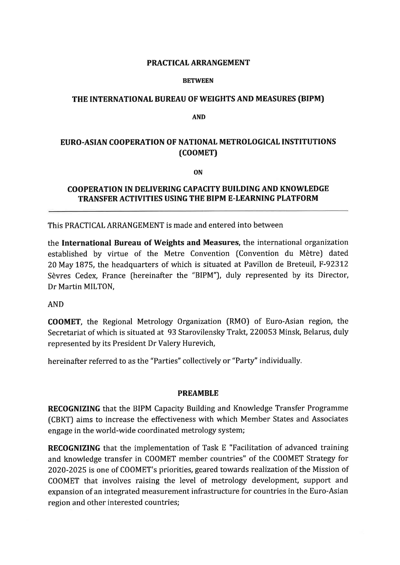#### PRACTICAL ARRANGEMENT

#### **BETWEEN**

## THE INTERNATIONAL BUREAU OF WEIGHTS AND MEASURES (BIPM)

AND

# EURO.ASIAN COOPERATION OF NATIONAT METROLOGICAL INSTITUTIONS (cooMEr)

ON

### COOPERATION IN DELIVERING CAPACITY BUILDING AND KNOWLEDGE TRANSFER ACTIVITIES USING THE BIPM E.LEARNING PLATFORM

This PRACTICAL ARRANGEMENT is made and entered into between

the International Bureau of Weights and Measures, the international organization established by virtue of the Metre Convention (Convention du Mètre) dated 20 May 1875, the headquarters of which is situated at Pavillon de Breteuil, F-92312 Sèvres Cedex, France (hereinafter the "BIPM"), duly represented by its Director, Dr Martin MILTON,

AND

COOMET, the Regional Metrology Organization (RMO) of Euro-Asian region, the Secretariat of which is situated at 93 Starovilensky Trakt, 220053 Minsk, Belarus, duly represented by its President Dr Valery Hurevich,

hereinafter referred to as the "Parties" collectively or "Party" individually.

### PREAMBLE

RECOGNIZING that the BIPM Capacity Building and Knowledge Transfer Programme (CBKT) aims to increase the effectiveness with which Member States and Associates engage in the world-wide coordinated metrology system;

RECOGNIZING that the implementation of Task E "Facilitation of advanced training and knowledge transfer in COOMET member countries" of the COOMET Strategy for 2020-2025 is one of COOMET's priorities, geared towards realization of the Mission of COOMET that involves raising the level of metrology development, support and expansion of an integrated measurement infrastructure for countries in the Euro-Asian region and other interested countries;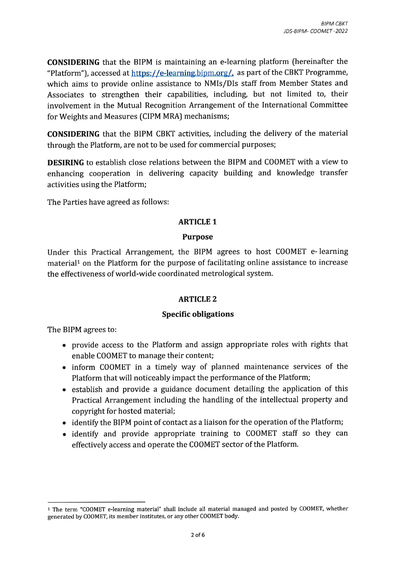CONSIDERING that the BIPM is maintaining an e-learning platform (hereinafter the "Platform"), accessed at https://e-learning.bipm.org/, as part of the CBKT Programme, which aims to provide online assistance to NMIs/DIs staff from Member States and Associates to strengthen their capabilities, including, but not limited to, their involvement in the Mutual Recognition Arrangement of the International Committee for Weights and Measures (CIPM MRA) mechanisms;

CONSIDERING that the BIPM CBKT activities, including the delivery of the material through the Platform, are not to be used for commercial purposes;

DESIRING to establish close relations between the BIPM and COOMET with a view to enhancing cooperation in delivering capacity building and knowledge transfer activities using the Platform;

The Parties have agreed as follows:

### ARTICLE 1

### Purpose

Under this Practical Arrangement, the BIPM agrees to host COOMET e- learning material<sup>1</sup> on the Platform for the purpose of facilitating online assistance to increase the effectiveness of world-wide coordinated metrological system.

### **ARTICLE 2**

### Specific obligations

The BIPM agrees to:

- provide access to the Platform and assign appropriate roles with rights that enable COOMET to manage their content;
- o inform COOMET in a timely way of planned maintenance services of the Platform that will noticeably impact the performance of the Platform;
- establish and provide a guidance document detailing the application of this Practical Arrangement including the handling of the intellectual property and copyright for hosted material;
- identify the BIPM point of contact as a liaison for the operation of the Platform;
- identify and provide appropriate training to COOMET staff so they can effectively access and operate the COOMET sector of the Platform.

<sup>1</sup>The term "COOMET e-learning material" shall include all material managed and posted by COOMET, whether generated by COOMET, its member institutes, or any other COOMET body.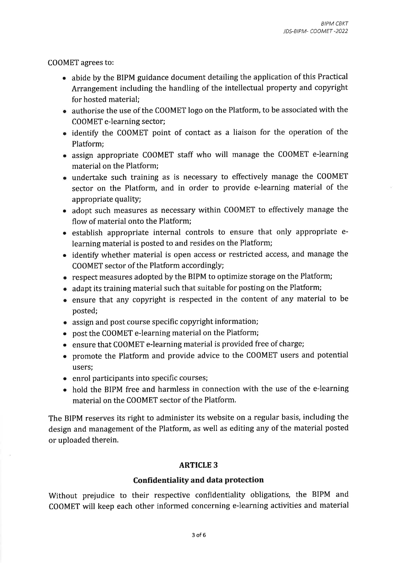COOMET agrees to:

- o abide by the BIPM guidance document detailing the application of this Practical Arrangement including the handling of the intellectual property and copyright for hosted material;
- o authorise the use of the COOMET logo on the Platform, to be associated with the COOMET e-learning sector;
- identify the COOMET point of contact as a liaison for the operation of the Platform;
- o assign appropriate COOMET staff who will manage the COOMET e-learning material on the Platform;
- undertake such training as is necessary to effectively manage the COOMET sector on the Platform, and in order to provide e-learning material of the appropriate quality;
- adopt such measures as necessary within COOMET to effectively manage the flow of material onto the Platform;
- o establish appropriate internal controls to ensure that only appropriate elearning material is posted to and resides on the Platform;
- identify whether material is open access or restricted access, and manage the COOMET sector of the Platform accordingly;
- o respect measures adopted by the BIPM to optimize storage on the Platform;
- o adapt its training material such that suitable for posting on the Platform;
- . ensure that any copyright is respected in the content of any material to be posted;
- o assign and post course specific copyright information;
- o post the COOMET e-learning material on the Platform;
- o ensure that COOMET e-learning material is provided free of charge;
- o promote the Platform and provide advice to the COOMET users and potential users;
- enrol participants into specific courses;
- o hold the BIPM free and harmless in connection with the use of the e-learning material on the COOMET sector of the Platform.

The BIPM reserves its right to administer its website on a regular basis, including the design and management of the Platform, as well as editing any of the material posted or uploaded therein.

# **ARTICLE 3**

### Confidentiality and data protection

Without prejudice to their respective confidentiality obligations, the BIPM and COOMET will keep each other informed concerning e-learning activities and material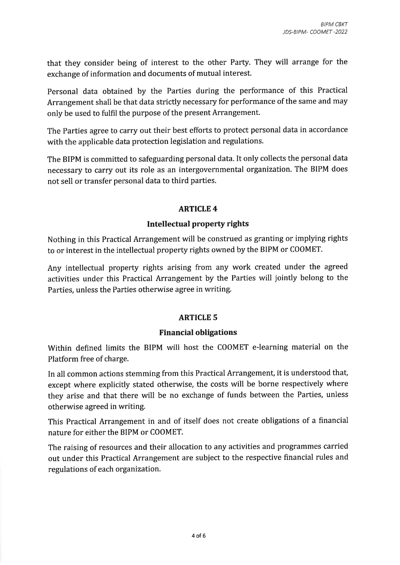that they consider being of interest to the other Party. They will arrange for the exchange of information and documents of mutual interest.

Personal data obtained by the Parties during the performance of this Practical Arrangement shall be that data strictly necessary for performance of the same and may only be used to fulfil the purpose of the present Arrangement.

The Parties agree to carry out their best efforts to protect personal data in accordance with the applicable data protection legislation and regulations.

The BIPM is committed to safeguarding personal data. It only collects the personal data necessary to carry out its role as an intergovernmental organization. The BIPM does not sell or transfer personal data to third parties.

# **ARTICLE 4**

# Intellectual property rights

Nothing in this Practical Arrangement will be construed as granting or implying rights to or interest in the intellectual property rights owned by the BIPM or COOMET.

Any intellectual property rights arising from any work created under the agreed activities under this Practical Arrangement by the Parties will jointly belong to the Parties, unless the Parties otherwise agree in writing.

# ARTICLE 5

# Financial obligations

Within defined limits the BIPM will host the COOMET e-learning material on the Platform free of charge.

In all common actions stemming from this Practical Arrangement, it is understood that, except where explicitly stated otherwise, the costs will be borne respectively where they arise and that there will be no exchange of funds between the Parties, unless otherwise agreed in writing.

This Practical Arrangement in and of itself does not create obligations of a financial nature for either the BIPM or COOMET.

The raising of resources and their allocation to any activities and programmes carried out under this Practical Arrangement are subject to the respective financial rules and regulations of each organization.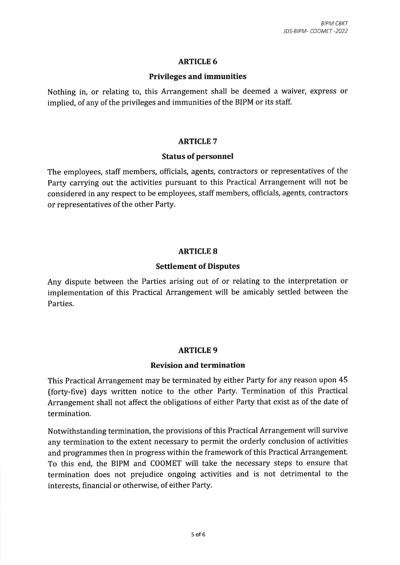## ARTICLE 6

## Privileges and immunities

Nothing in, or relating to, this Arrangement shall be deemed a waiver, express or implied, of any of the privileges and immunities of the BIPM or its staff.

## ARTICLE 7

## **Status of personnel**

The employees, staff members, officials, agents, contractors or representatives of the Party carrying out the activities pursuant to this Practical Arrangement will not be considered in any respect to be employees, staff members, officials, agents, contractors or representatives of the other Party.

# **ARTICLE 8**

## Settlement of Disputes

Any dispute between the Parties arising out of or relating to the interpretation or implementation of this Practical Arrangement will be amicably settled between the Parties.

# ARTICLE 9

### Revision and termination

This Practical Arrangement may be terminated by either Party for any reason upon 45 (forty-five) days written notice to the other Party, Termination of this Practical Arrangement shall not affect the obligations of either Party that exist as of the date of termination.

Notwithstanding termination, the provisions of this Practical Arrangement will survive any termination to the extent necessary to permit the orderly conclusion of activities and programmes then in progress within the framework of this Practical Arrangement. To this end, the BIPM and COOMET will take the necessary steps to ensure that termination does not prejudice ongoing activities and is not detrimental to the interests, financial or otherwise, of either Party.